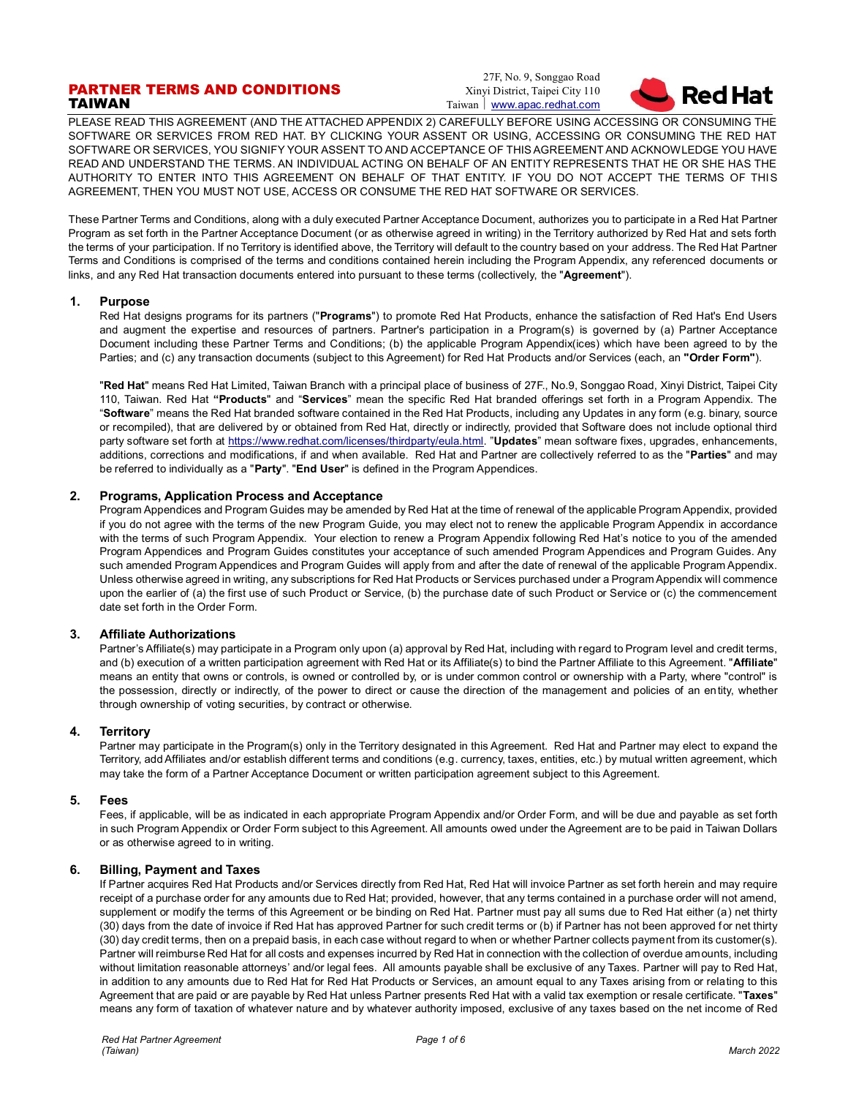# PARTNER TERMS AND CONDITIONS TAIWAN

27F, No. 9, Songgao Road Xinyi District, Taipei City 110 Taiwan | [www.apac.redhat.com](http://www.redhat.com/)



PLEASE READ THIS AGREEMENT (AND THE ATTACHED APPENDIX 2) CAREFULLY BEFORE USING ACCESSING OR CONSUMING THE SOFTWARE OR SERVICES FROM RED HAT. BY CLICKING YOUR ASSENT OR USING, ACCESSING OR CONSUMING THE RED HAT SOFTWARE OR SERVICES, YOU SIGNIFY YOUR ASSENT TO AND ACCEPTANCE OF THIS AGREEMENT AND ACKNOWLEDGE YOU HAVE READ AND UNDERSTAND THE TERMS. AN INDIVIDUAL ACTING ON BEHALF OF AN ENTITY REPRESENTS THAT HE OR SHE HAS THE AUTHORITY TO ENTER INTO THIS AGREEMENT ON BEHALF OF THAT ENTITY. IF YOU DO NOT ACCEPT THE TERMS OF THIS AGREEMENT, THEN YOU MUST NOT USE, ACCESS OR CONSUME THE RED HAT SOFTWARE OR SERVICES.

These Partner Terms and Conditions, along with a duly executed Partner Acceptance Document, authorizes you to participate in a Red Hat Partner Program as set forth in the Partner Acceptance Document (or as otherwise agreed in writing) in the Territory authorized by Red Hat and sets forth the terms of your participation. If no Territory is identified above, the Territory will default to the country based on your address. The Red Hat Partner Terms and Conditions is comprised of the terms and conditions contained herein including the Program Appendix, any referenced documents or links, and any Red Hat transaction documents entered into pursuant to these terms (collectively, the "**Agreement**").

# **1. Purpose**

Red Hat designs programs for its partners ("**Programs**") to promote Red Hat Products, enhance the satisfaction of Red Hat's End Users and augment the expertise and resources of partners. Partner's participation in a Program(s) is governed by (a) Partner Acceptance Document including these Partner Terms and Conditions; (b) the applicable Program Appendix(ices) which have been agreed to by the Parties; and (c) any transaction documents (subject to this Agreement) for Red Hat Products and/or Services (each, an **"Order Form"**).

"**Red Hat**" means Red Hat Limited, Taiwan Branch with a principal place of business of 27F., No.9, [Songgao Road, Xinyi District, Taipei City](https://www.google.com/maps/search/9,+Songgao+Rd.,+Xinyi+Dist.,+Taipei+City?entry=gmail&source=g) 110, Taiwan. Red Hat **"Products**" and "**Services**" mean the specific Red Hat branded offerings set forth in a Program Appendix. The "**Software**" means the Red Hat branded software contained in the Red Hat Products, including any Updates in any form (e.g. binary, source or recompiled), that are delivered by or obtained from Red Hat, directly or indirectly, provided that Software does not include optional third party software set forth at [https://www.redhat.com/licenses/thirdparty/eula.html.](https://www.redhat.com/licenses/thirdparty/eula.html) "**Updates**" mean software fixes, upgrades, enhancements, additions, corrections and modifications, if and when available. Red Hat and Partner are collectively referred to as the "**Parties**" and may be referred to individually as a "**Party**". "**End User**" is defined in the Program Appendices.

# **2. Programs, Application Process and Acceptance**

Program Appendices and Program Guides may be amended by Red Hat at the time of renewal of the applicable Program Appendix, provided if you do not agree with the terms of the new Program Guide, you may elect not to renew the applicable Program Appendix in accordance with the terms of such Program Appendix. Your election to renew a Program Appendix following Red Hat's notice to you of the amended Program Appendices and Program Guides constitutes your acceptance of such amended Program Appendices and Program Guides. Any such amended Program Appendices and Program Guides will apply from and after the date of renewal of the applicable Program Appendix. Unless otherwise agreed in writing, any subscriptions for Red Hat Products or Services purchased under a Program Appendix will commence upon the earlier of (a) the first use of such Product or Service, (b) the purchase date of such Product or Service or (c) the commencement date set forth in the Order Form.

# **3. Affiliate Authorizations**

Partner's Affiliate(s) may participate in a Program only upon (a) approval by Red Hat, including with regard to Program level and credit terms, and (b) execution of a written participation agreement with Red Hat or its Affiliate(s) to bind the Partner Affiliate to this Agreement. "**Affiliate**" means an entity that owns or controls, is owned or controlled by, or is under common control or ownership with a Party, where "control" is the possession, directly or indirectly, of the power to direct or cause the direction of the management and policies of an entity, whether through ownership of voting securities, by contract or otherwise.

# **4. Territory**

Partner may participate in the Program(s) only in the Territory designated in this Agreement. Red Hat and Partner may elect to expand the Territory, add Affiliates and/or establish different terms and conditions (e.g. currency, taxes, entities, etc.) by mutual written agreement, which may take the form of a Partner Acceptance Document or written participation agreement subject to this Agreement.

# **5. Fees**

Fees, if applicable, will be as indicated in each appropriate Program Appendix and/or Order Form, and will be due and payable as set forth in such Program Appendix or Order Form subject to this Agreement. All amounts owed under the Agreement are to be paid in Taiwan Dollars or as otherwise agreed to in writing.

# **6. Billing, Payment and Taxes**

If Partner acquires Red Hat Products and/or Services directly from Red Hat, Red Hat will invoice Partner as set forth herein and may require receipt of a purchase order for any amounts due to Red Hat; provided, however, that any terms contained in a purchase order will not amend, supplement or modify the terms of this Agreement or be binding on Red Hat. Partner must pay all sums due to Red Hat either (a) net thirty (30) days from the date of invoice if Red Hat has approved Partner for such credit terms or (b) if Partner has not been approved for net thirty (30) day credit terms, then on a prepaid basis, in each case without regard to when or whether Partner collects payment from its customer(s). Partner will reimburse Red Hat for all costs and expenses incurred by Red Hat in connection with the collection of overdue amounts, including without limitation reasonable attorneys' and/or legal fees. All amounts payable shall be exclusive of any Taxes. Partner will pay to Red Hat, in addition to any amounts due to Red Hat for Red Hat Products or Services, an amount equal to any Taxes arising from or relating to this Agreement that are paid or are payable by Red Hat unless Partner presents Red Hat with a valid tax exemption or resale certificate. "**Taxes**" means any form of taxation of whatever nature and by whatever authority imposed, exclusive of any taxes based on the net income of Red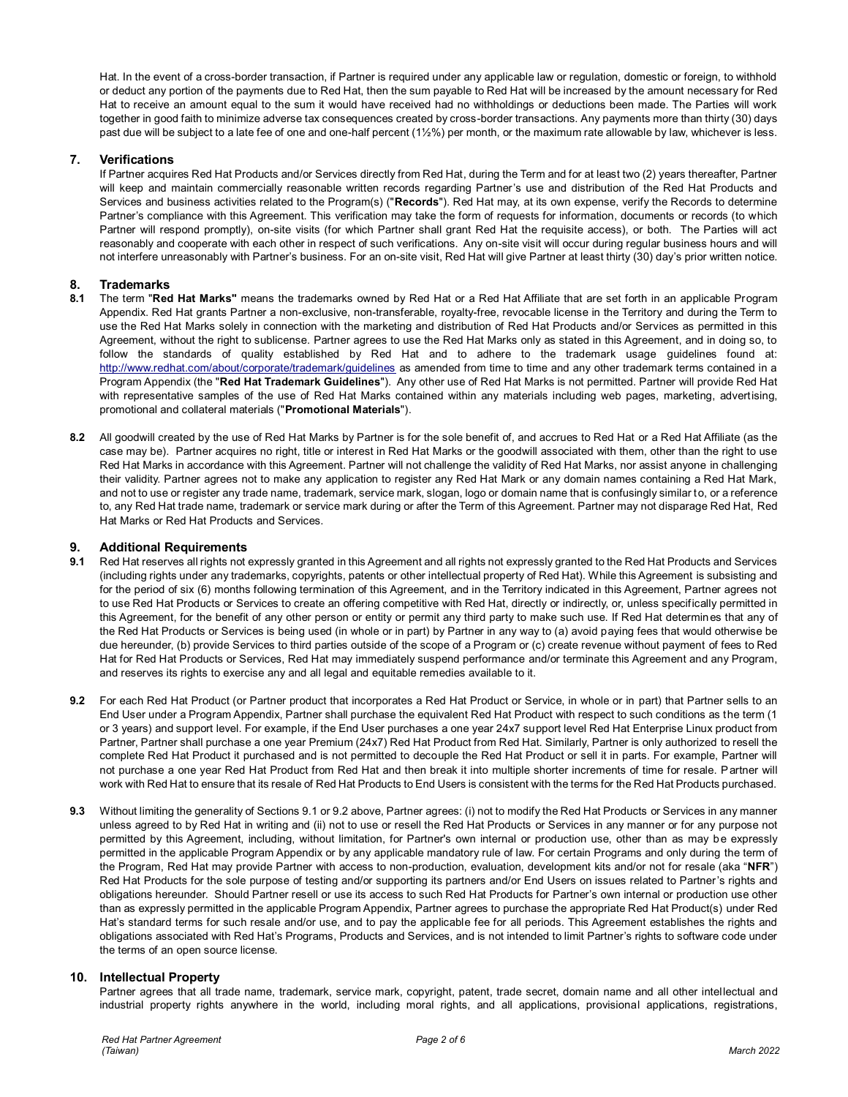Hat. In the event of a cross-border transaction, if Partner is required under any applicable law or regulation, domestic or foreign, to withhold or deduct any portion of the payments due to Red Hat, then the sum payable to Red Hat will be increased by the amount necessary for Red Hat to receive an amount equal to the sum it would have received had no withholdings or deductions been made. The Parties will work together in good faith to minimize adverse tax consequences created by cross-border transactions. Any payments more than thirty (30) days past due will be subject to a late fee of one and one-half percent (1½%) per month, or the maximum rate allowable by law, whichever is less.

# **7. Verifications**

If Partner acquires Red Hat Products and/or Services directly from Red Hat, during the Term and for at least two (2) years thereafter, Partner will keep and maintain commercially reasonable written records regarding Partner's use and distribution of the Red Hat Products and Services and business activities related to the Program(s) ("**Records**"). Red Hat may, at its own expense, verify the Records to determine Partner's compliance with this Agreement. This verification may take the form of requests for information, documents or records (to which Partner will respond promptly), on-site visits (for which Partner shall grant Red Hat the requisite access), or both. The Parties will act reasonably and cooperate with each other in respect of such verifications. Any on-site visit will occur during regular business hours and will not interfere unreasonably with Partner's business. For an on-site visit, Red Hat will give Partner at least thirty (30) day's prior written notice.

# **8. Trademarks**

- **8.1** The term "**Red Hat Marks"** means the trademarks owned by Red Hat or a Red Hat Affiliate that are set forth in an applicable Program Appendix. Red Hat grants Partner a non-exclusive, non-transferable, royalty-free, revocable license in the Territory and during the Term to use the Red Hat Marks solely in connection with the marketing and distribution of Red Hat Products and/or Services as permitted in this Agreement, without the right to sublicense. Partner agrees to use the Red Hat Marks only as stated in this Agreement, and in doing so, to follow the standards of quality established by Red Hat and to adhere to the trademark usage guidelines found at: <http://www.redhat.com/about/corporate/trademark/guidelines> as amended from time to time and any other trademark terms contained in a Program Appendix (the "**Red Hat Trademark Guidelines**"). Any other use of Red Hat Marks is not permitted. Partner will provide Red Hat with representative samples of the use of Red Hat Marks contained within any materials including web pages, marketing, advertising, promotional and collateral materials ("**Promotional Materials**").
- **8.2** All goodwill created by the use of Red Hat Marks by Partner is for the sole benefit of, and accrues to Red Hat or a Red Hat Affiliate (as the case may be). Partner acquires no right, title or interest in Red Hat Marks or the goodwill associated with them, other than the right to use Red Hat Marks in accordance with this Agreement. Partner will not challenge the validity of Red Hat Marks, nor assist anyone in challenging their validity. Partner agrees not to make any application to register any Red Hat Mark or any domain names containing a Red Hat Mark, and not to use or register any trade name, trademark, service mark, slogan, logo or domain name that is confusingly similar to, or a reference to, any Red Hat trade name, trademark or service mark during or after the Term of this Agreement. Partner may not disparage Red Hat, Red Hat Marks or Red Hat Products and Services.

#### **9. Additional Requirements**

- **9.1** Red Hat reserves all rights not expressly granted in this Agreement and all rights not expressly granted to the Red Hat Products and Services (including rights under any trademarks, copyrights, patents or other intellectual property of Red Hat). While this Agreement is subsisting and for the period of six (6) months following termination of this Agreement, and in the Territory indicated in this Agreement, Partner agrees not to use Red Hat Products or Services to create an offering competitive with Red Hat, directly or indirectly, or, unless specifically permitted in this Agreement, for the benefit of any other person or entity or permit any third party to make such use. If Red Hat determines that any of the Red Hat Products or Services is being used (in whole or in part) by Partner in any way to (a) avoid paying fees that would otherwise be due hereunder, (b) provide Services to third parties outside of the scope of a Program or (c) create revenue without payment of fees to Red Hat for Red Hat Products or Services, Red Hat may immediately suspend performance and/or terminate this Agreement and any Program, and reserves its rights to exercise any and all legal and equitable remedies available to it.
- **9.2** For each Red Hat Product (or Partner product that incorporates a Red Hat Product or Service, in whole or in part) that Partner sells to an End User under a Program Appendix, Partner shall purchase the equivalent Red Hat Product with respect to such conditions as the term (1 or 3 years) and support level. For example, if the End User purchases a one year 24x7 support level Red Hat Enterprise Linux product from Partner, Partner shall purchase a one year Premium (24x7) Red Hat Product from Red Hat. Similarly, Partner is only authorized to resell the complete Red Hat Product it purchased and is not permitted to decouple the Red Hat Product or sell it in parts. For example, Partner will not purchase a one year Red Hat Product from Red Hat and then break it into multiple shorter increments of time for resale. Partner will work with Red Hat to ensure that its resale of Red Hat Products to End Users is consistent with the terms for the Red Hat Products purchased.
- **9.3** Without limiting the generality of Sections 9.1 or 9.2 above, Partner agrees: (i) not to modify the Red Hat Products or Services in any manner unless agreed to by Red Hat in writing and (ii) not to use or resell the Red Hat Products or Services in any manner or for any purpose not permitted by this Agreement, including, without limitation, for Partner's own internal or production use, other than as may be expressly permitted in the applicable Program Appendix or by any applicable mandatory rule of law. For certain Programs and only during the term of the Program, Red Hat may provide Partner with access to non-production, evaluation, development kits and/or not for resale (aka "**NFR**") Red Hat Products for the sole purpose of testing and/or supporting its partners and/or End Users on issues related to Partner's rights and obligations hereunder. Should Partner resell or use its access to such Red Hat Products for Partner's own internal or production use other than as expressly permitted in the applicable Program Appendix, Partner agrees to purchase the appropriate Red Hat Product(s) under Red Hat's standard terms for such resale and/or use, and to pay the applicable fee for all periods. This Agreement establishes the rights and obligations associated with Red Hat's Programs, Products and Services, and is not intended to limit Partner's rights to software code under the terms of an open source license.

# **10. Intellectual Property**

Partner agrees that all trade name, trademark, service mark, copyright, patent, trade secret, domain name and all other intellectual and industrial property rights anywhere in the world, including moral rights, and all applications, provisional applications, registrations,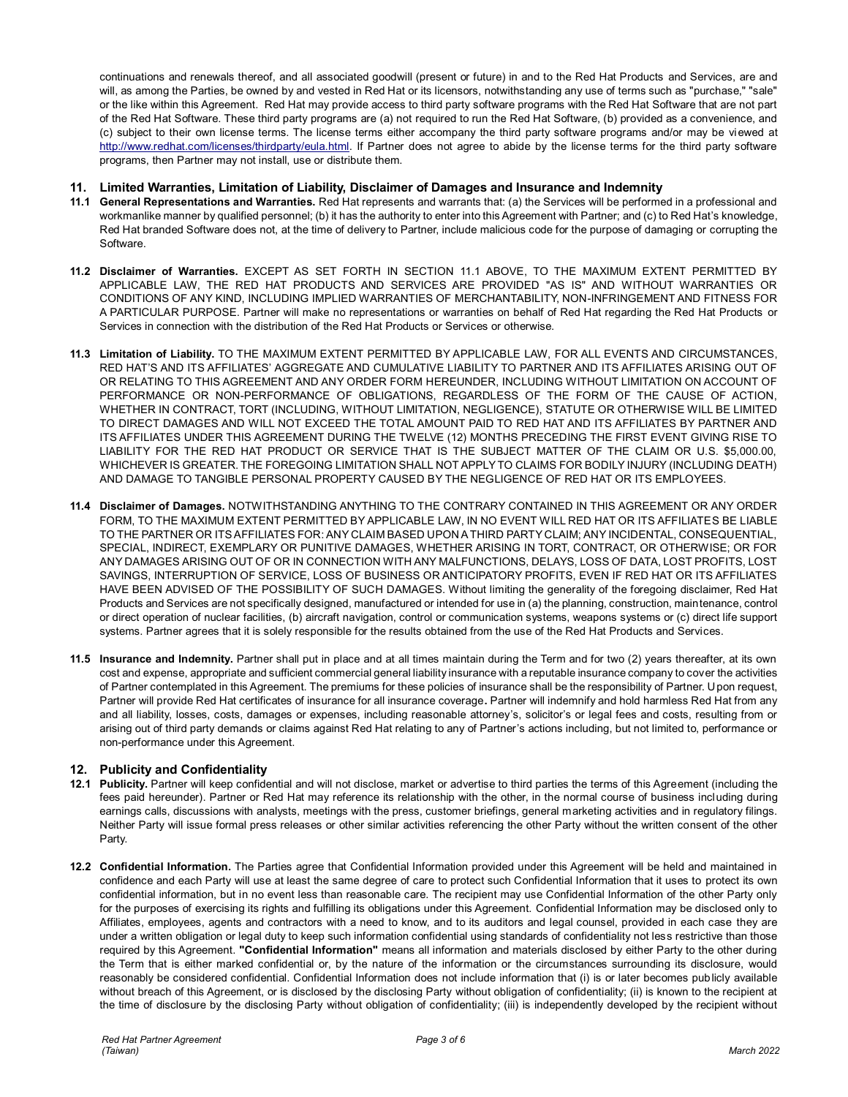continuations and renewals thereof, and all associated goodwill (present or future) in and to the Red Hat Products and Services, are and will, as among the Parties, be owned by and vested in Red Hat or its licensors, notwithstanding any use of terms such as "purchase," "sale" or the like within this Agreement. Red Hat may provide access to third party software programs with the Red Hat Software that are not part of the Red Hat Software. These third party programs are (a) not required to run the Red Hat Software, (b) provided as a convenience, and (c) subject to their own license terms. The license terms either accompany the third party software programs and/or may be viewed at [http://www.redhat.com/licenses/thirdparty/eula.html.](http://www.redhat.com/licenses/thirdparty/eula.html) If Partner does not agree to abide by the license terms for the third party software programs, then Partner may not install, use or distribute them.

# **11. Limited Warranties, Limitation of Liability, Disclaimer of Damages and Insurance and Indemnity**

- **11.1 General Representations and Warranties.** Red Hat represents and warrants that: (a) the Services will be performed in a professional and workmanlike manner by qualified personnel; (b) it has the authority to enter into this Agreement with Partner; and (c) to Red Hat's knowledge, Red Hat branded Software does not, at the time of delivery to Partner, include malicious code for the purpose of damaging or corrupting the Software.
- **11.2 Disclaimer of Warranties.** EXCEPT AS SET FORTH IN SECTION 11.1 ABOVE, TO THE MAXIMUM EXTENT PERMITTED BY APPLICABLE LAW, THE RED HAT PRODUCTS AND SERVICES ARE PROVIDED "AS IS" AND WITHOUT WARRANTIES OR CONDITIONS OF ANY KIND, INCLUDING IMPLIED WARRANTIES OF MERCHANTABILITY, NON-INFRINGEMENT AND FITNESS FOR A PARTICULAR PURPOSE. Partner will make no representations or warranties on behalf of Red Hat regarding the Red Hat Products or Services in connection with the distribution of the Red Hat Products or Services or otherwise.
- **11.3 Limitation of Liability.** TO THE MAXIMUM EXTENT PERMITTED BY APPLICABLE LAW, FOR ALL EVENTS AND CIRCUMSTANCES, RED HAT'S AND ITS AFFILIATES' AGGREGATE AND CUMULATIVE LIABILITY TO PARTNER AND ITS AFFILIATES ARISING OUT OF OR RELATING TO THIS AGREEMENT AND ANY ORDER FORM HEREUNDER, INCLUDING WITHOUT LIMITATION ON ACCOUNT OF PERFORMANCE OR NON-PERFORMANCE OF OBLIGATIONS, REGARDLESS OF THE FORM OF THE CAUSE OF ACTION, WHETHER IN CONTRACT, TORT (INCLUDING, WITHOUT LIMITATION, NEGLIGENCE), STATUTE OR OTHERWISE WILL BE LIMITED TO DIRECT DAMAGES AND WILL NOT EXCEED THE TOTAL AMOUNT PAID TO RED HAT AND ITS AFFILIATES BY PARTNER AND ITS AFFILIATES UNDER THIS AGREEMENT DURING THE TWELVE (12) MONTHS PRECEDING THE FIRST EVENT GIVING RISE TO LIABILITY FOR THE RED HAT PRODUCT OR SERVICE THAT IS THE SUBJECT MATTER OF THE CLAIM OR U.S. \$5,000.00, WHICHEVER IS GREATER. THE FOREGOING LIMITATION SHALL NOT APPLY TO CLAIMS FOR BODILY INJURY (INCLUDING DEATH) AND DAMAGE TO TANGIBLE PERSONAL PROPERTY CAUSED BY THE NEGLIGENCE OF RED HAT OR ITS EMPLOYEES.
- **11.4 Disclaimer of Damages.** NOTWITHSTANDING ANYTHING TO THE CONTRARY CONTAINED IN THIS AGREEMENT OR ANY ORDER FORM, TO THE MAXIMUM EXTENT PERMITTED BY APPLICABLE LAW, IN NO EVENT WILL RED HAT OR ITS AFFILIATES BE LIABLE TO THE PARTNER OR ITS AFFILIATES FOR: ANY CLAIM BASED UPON A THIRD PARTY CLAIM; ANY INCIDENTAL, CONSEQUENTIAL, SPECIAL, INDIRECT, EXEMPLARY OR PUNITIVE DAMAGES, WHETHER ARISING IN TORT, CONTRACT, OR OTHERWISE; OR FOR ANY DAMAGES ARISING OUT OF OR IN CONNECTION WITH ANY MALFUNCTIONS, DELAYS, LOSS OF DATA, LOST PROFITS, LOST SAVINGS, INTERRUPTION OF SERVICE, LOSS OF BUSINESS OR ANTICIPATORY PROFITS, EVEN IF RED HAT OR ITS AFFILIATES HAVE BEEN ADVISED OF THE POSSIBILITY OF SUCH DAMAGES. Without limiting the generality of the foregoing disclaimer, Red Hat Products and Services are not specifically designed, manufactured or intended for use in (a) the planning, construction, maintenance, control or direct operation of nuclear facilities, (b) aircraft navigation, control or communication systems, weapons systems or (c) direct life support systems. Partner agrees that it is solely responsible for the results obtained from the use of the Red Hat Products and Services.
- **11.5 Insurance and Indemnity.** Partner shall put in place and at all times maintain during the Term and for two (2) years thereafter, at its own cost and expense, appropriate and sufficient commercial general liability insurance with a reputable insurance company to cover the activities of Partner contemplated in this Agreement. The premiums for these policies of insurance shall be the responsibility of Partner. Upon request, Partner will provide Red Hat certificates of insurance for all insurance coverage**.** Partner will indemnify and hold harmless Red Hat from any and all liability, losses, costs, damages or expenses, including reasonable attorney's, solicitor's or legal fees and costs, resulting from or arising out of third party demands or claims against Red Hat relating to any of Partner's actions including, but not limited to, performance or non-performance under this Agreement.

# **12. Publicity and Confidentiality**

- **12.1 Publicity.** Partner will keep confidential and will not disclose, market or advertise to third parties the terms of this Agreement (including the fees paid hereunder). Partner or Red Hat may reference its relationship with the other, in the normal course of business including during earnings calls, discussions with analysts, meetings with the press, customer briefings, general marketing activities and in regulatory filings. Neither Party will issue formal press releases or other similar activities referencing the other Party without the written consent of the other Party.
- **12.2 Confidential Information.** The Parties agree that Confidential Information provided under this Agreement will be held and maintained in confidence and each Party will use at least the same degree of care to protect such Confidential Information that it uses to protect its own confidential information, but in no event less than reasonable care. The recipient may use Confidential Information of the other Party only for the purposes of exercising its rights and fulfilling its obligations under this Agreement. Confidential Information may be disclosed only to Affiliates, employees, agents and contractors with a need to know, and to its auditors and legal counsel, provided in each case they are under a written obligation or legal duty to keep such information confidential using standards of confidentiality not less restrictive than those required by this Agreement. **"Confidential Information"** means all information and materials disclosed by either Party to the other during the Term that is either marked confidential or, by the nature of the information or the circumstances surrounding its disclosure, would reasonably be considered confidential. Confidential Information does not include information that (i) is or later becomes publicly available without breach of this Agreement, or is disclosed by the disclosing Party without obligation of confidentiality; (ii) is known to the recipient at the time of disclosure by the disclosing Party without obligation of confidentiality; (iii) is independently developed by the recipient without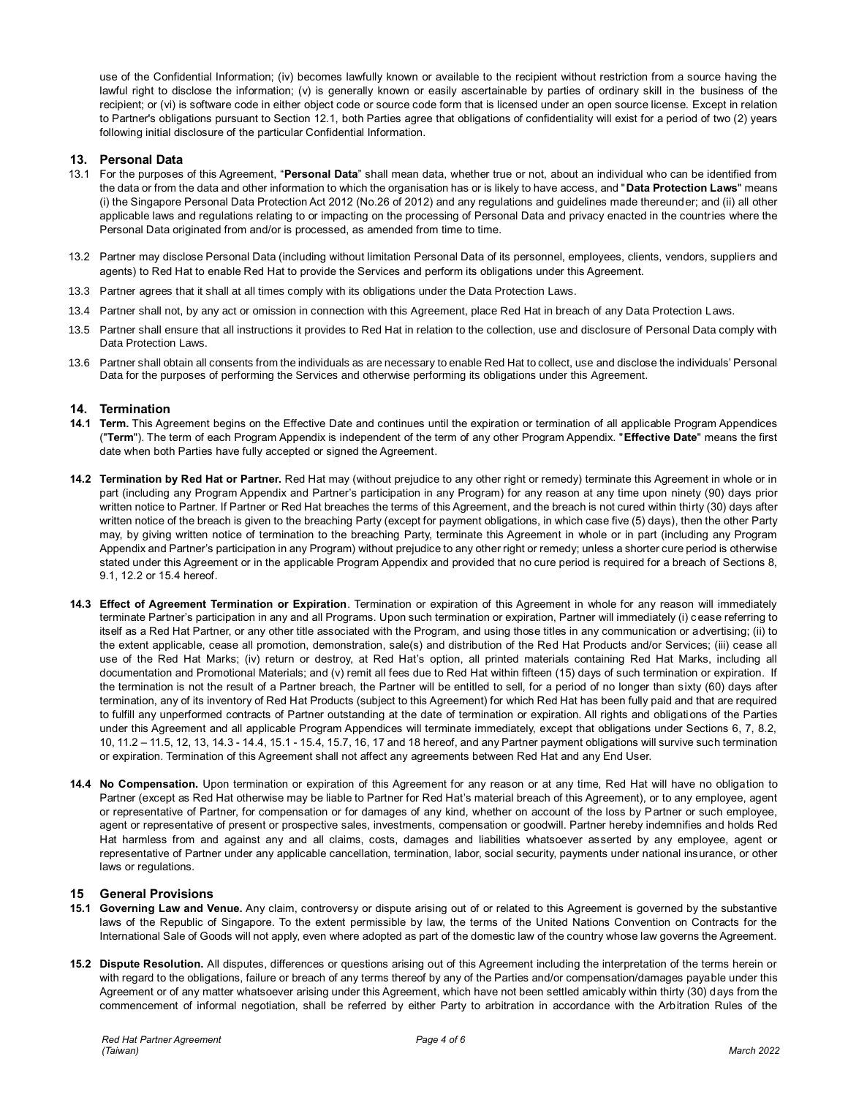use of the Confidential Information; (iv) becomes lawfully known or available to the recipient without restriction from a source having the lawful right to disclose the information; (v) is generally known or easily ascertainable by parties of ordinary skill in the business of the recipient; or (vi) is software code in either object code or source code form that is licensed under an open source license. Except in relation to Partner's obligations pursuant to Section 12.1, both Parties agree that obligations of confidentiality will exist for a period of two (2) years following initial disclosure of the particular Confidential Information.

# **13. Personal Data**

- 13.1 For the purposes of this Agreement, "**Personal Data**" shall mean data, whether true or not, about an individual who can be identified from the data or from the data and other information to which the organisation has or is likely to have access, and "**Data Protection Laws**" means (i) the Singapore Personal Data Protection Act 2012 (No.26 of 2012) and any regulations and guidelines made thereunder; and (ii) all other applicable laws and regulations relating to or impacting on the processing of Personal Data and privacy enacted in the countries where the Personal Data originated from and/or is processed, as amended from time to time.
- 13.2 Partner may disclose Personal Data (including without limitation Personal Data of its personnel, employees, clients, vendors, suppliers and agents) to Red Hat to enable Red Hat to provide the Services and perform its obligations under this Agreement.
- 13.3 Partner agrees that it shall at all times comply with its obligations under the Data Protection Laws.
- 13.4 Partner shall not, by any act or omission in connection with this Agreement, place Red Hat in breach of any Data Protection Laws.
- 13.5 Partner shall ensure that all instructions it provides to Red Hat in relation to the collection, use and disclosure of Personal Data comply with Data Protection Laws.
- 13.6 Partner shall obtain all consents from the individuals as are necessary to enable Red Hat to collect, use and disclose the individuals' Personal Data for the purposes of performing the Services and otherwise performing its obligations under this Agreement.

# **14. Termination**

- **14.1 Term.** This Agreement begins on the Effective Date and continues until the expiration or termination of all applicable Program Appendices ("**Term**"). The term of each Program Appendix is independent of the term of any other Program Appendix. "**Effective Date**" means the first date when both Parties have fully accepted or signed the Agreement.
- **14.2 Termination by Red Hat or Partner.** Red Hat may (without prejudice to any other right or remedy) terminate this Agreement in whole or in part (including any Program Appendix and Partner's participation in any Program) for any reason at any time upon ninety (90) days prior written notice to Partner. If Partner or Red Hat breaches the terms of this Agreement, and the breach is not cured within thirty (30) days after written notice of the breach is given to the breaching Party (except for payment obligations, in which case five (5) days), then the other Party may, by giving written notice of termination to the breaching Party, terminate this Agreement in whole or in part (including any Program Appendix and Partner's participation in any Program) without prejudice to any other right or remedy; unless a shorter cure period is otherwise stated under this Agreement or in the applicable Program Appendix and provided that no cure period is required for a breach of Sections 8, 9.1, 12.2 or 15.4 hereof.
- **14.3 Effect of Agreement Termination or Expiration**. Termination or expiration of this Agreement in whole for any reason will immediately terminate Partner's participation in any and all Programs. Upon such termination or expiration, Partner will immediately (i) cease referring to itself as a Red Hat Partner, or any other title associated with the Program, and using those titles in any communication or advertising; (ii) to the extent applicable, cease all promotion, demonstration, sale(s) and distribution of the Red Hat Products and/or Services; (iii) cease all use of the Red Hat Marks; (iv) return or destroy, at Red Hat's option, all printed materials containing Red Hat Marks, including all documentation and Promotional Materials; and (v) remit all fees due to Red Hat within fifteen (15) days of such termination or expiration. If the termination is not the result of a Partner breach, the Partner will be entitled to sell, for a period of no longer than sixty (60) days after termination, any of its inventory of Red Hat Products (subject to this Agreement) for which Red Hat has been fully paid and that are required to fulfill any unperformed contracts of Partner outstanding at the date of termination or expiration. All rights and obligations of the Parties under this Agreement and all applicable Program Appendices will terminate immediately, except that obligations under Sections 6, 7, 8.2, 10, 11.2 – 11.5, 12, 13, 14.3 - 14.4, 15.1 - 15.4, 15.7, 16, 17 and 18 hereof, and any Partner payment obligations will survive such termination or expiration. Termination of this Agreement shall not affect any agreements between Red Hat and any End User.
- **14.4 No Compensation.** Upon termination or expiration of this Agreement for any reason or at any time, Red Hat will have no obligation to Partner (except as Red Hat otherwise may be liable to Partner for Red Hat's material breach of this Agreement), or to any employee, agent or representative of Partner, for compensation or for damages of any kind, whether on account of the loss by Partner or such employee, agent or representative of present or prospective sales, investments, compensation or goodwill. Partner hereby indemnifies and holds Red Hat harmless from and against any and all claims, costs, damages and liabilities whatsoever asserted by any employee, agent or representative of Partner under any applicable cancellation, termination, labor, social security, payments under national insurance, or other laws or regulations.

# **15 General Provisions**

- **15.1 Governing Law and Venue.** Any claim, controversy or dispute arising out of or related to this Agreement is governed by the substantive laws of the Republic of Singapore. To the extent permissible by law, the terms of the United Nations Convention on Contracts for the International Sale of Goods will not apply, even where adopted as part of the domestic law of the country whose law governs the Agreement.
- **15.2 Dispute Resolution.** All disputes, differences or questions arising out of this Agreement including the interpretation of the terms herein or with regard to the obligations, failure or breach of any terms thereof by any of the Parties and/or compensation/damages payable under this Agreement or of any matter whatsoever arising under this Agreement, which have not been settled amicably within thirty (30) days from the commencement of informal negotiation, shall be referred by either Party to arbitration in accordance with the Arbitration Rules of the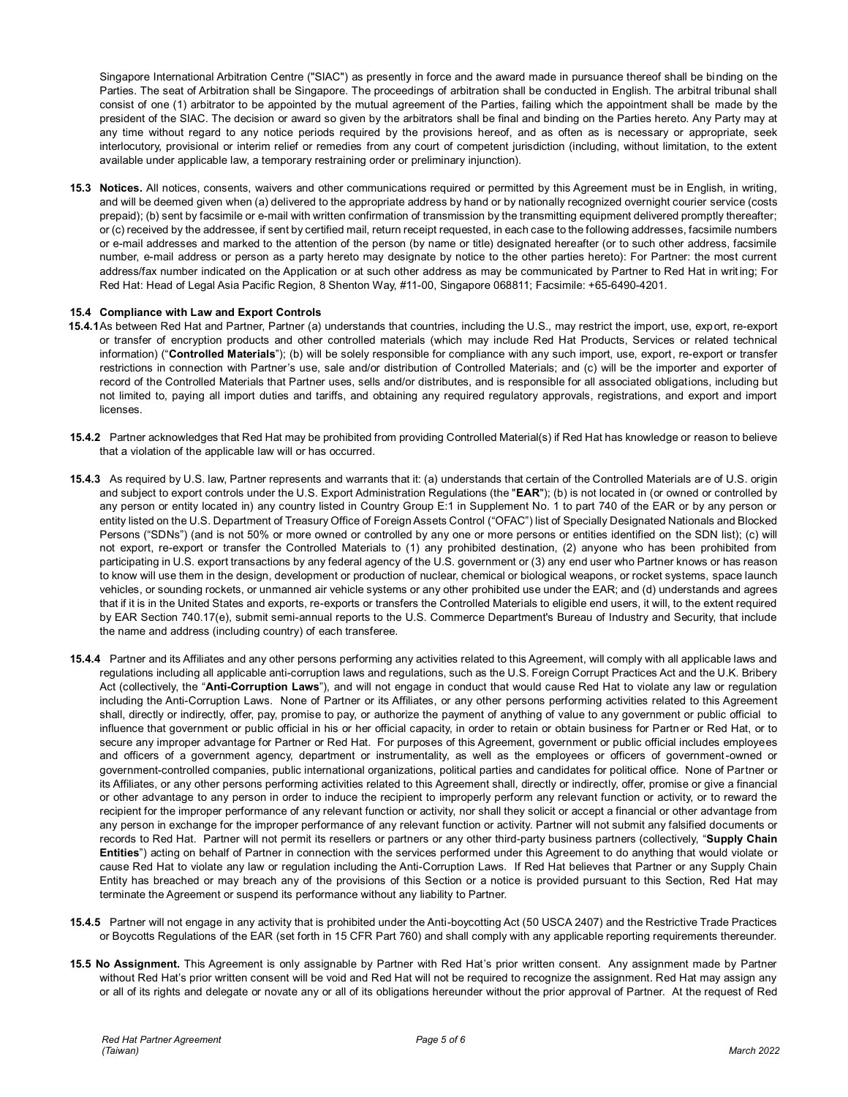Singapore International Arbitration Centre ("SIAC") as presently in force and the award made in pursuance thereof shall be binding on the Parties. The seat of Arbitration shall be Singapore. The proceedings of arbitration shall be conducted in English. The arbitral tribunal shall consist of one (1) arbitrator to be appointed by the mutual agreement of the Parties, failing which the appointment shall be made by the president of the SIAC. The decision or award so given by the arbitrators shall be final and binding on the Parties hereto. Any Party may at any time without regard to any notice periods required by the provisions hereof, and as often as is necessary or appropriate, seek interlocutory, provisional or interim relief or remedies from any court of competent jurisdiction (including, without limitation, to the extent available under applicable law, a temporary restraining order or preliminary injunction).

**15.3 Notices.** All notices, consents, waivers and other communications required or permitted by this Agreement must be in English, in writing, and will be deemed given when (a) delivered to the appropriate address by hand or by nationally recognized overnight courier service (costs prepaid); (b) sent by facsimile or e-mail with written confirmation of transmission by the transmitting equipment delivered promptly thereafter; or (c) received by the addressee, if sent by certified mail, return receipt requested, in each case to the following addresses, facsimile numbers or e-mail addresses and marked to the attention of the person (by name or title) designated hereafter (or to such other address, facsimile number, e-mail address or person as a party hereto may designate by notice to the other parties hereto): For Partner: the most current address/fax number indicated on the Application or at such other address as may be communicated by Partner to Red Hat in writ ing; For Red Hat: Head of Legal Asia Pacific Region, 8 Shenton Way, #11-00, Singapore 068811; Facsimile: +65-6490-4201.

# **15.4 Compliance with Law and Export Controls**

- **15.4.1**As between Red Hat and Partner, Partner (a) understands that countries, including the U.S., may restrict the import, use, export, re-export or transfer of encryption products and other controlled materials (which may include Red Hat Products, Services or related technical information) ("**Controlled Materials**"); (b) will be solely responsible for compliance with any such import, use, export, re-export or transfer restrictions in connection with Partner's use, sale and/or distribution of Controlled Materials; and (c) will be the importer and exporter of record of the Controlled Materials that Partner uses, sells and/or distributes, and is responsible for all associated obligations, including but not limited to, paying all import duties and tariffs, and obtaining any required regulatory approvals, registrations, and export and import **licenses**
- **15.4.2** Partner acknowledges that Red Hat may be prohibited from providing Controlled Material(s) if Red Hat has knowledge or reason to believe that a violation of the applicable law will or has occurred.
- **15.4.3** As required by U.S. law, Partner represents and warrants that it: (a) understands that certain of the Controlled Materials are of U.S. origin and subject to export controls under the U.S. Export Administration Regulations (the "**EAR**"); (b) is not located in (or owned or controlled by any person or entity located in) any country listed in Country Group E:1 in Supplement No. 1 to part 740 of the EAR or by any person or entity listed on the U.S. Department of Treasury Office of Foreign Assets Control ("OFAC") list of Specially Designated Nationals and Blocked Persons ("SDNs") (and is not 50% or more owned or controlled by any one or more persons or entities identified on the SDN list); (c) will not export, re-export or transfer the Controlled Materials to (1) any prohibited destination, (2) anyone who has been prohibited from participating in U.S. export transactions by any federal agency of the U.S. government or (3) any end user who Partner knows or has reason to know will use them in the design, development or production of nuclear, chemical or biological weapons, or rocket systems, space launch vehicles, or sounding rockets, or unmanned air vehicle systems or any other prohibited use under the EAR; and (d) understands and agrees that if it is in the United States and exports, re-exports or transfers the Controlled Materials to eligible end users, it will, to the extent required by EAR Section 740.17(e), submit semi-annual reports to the U.S. Commerce Department's Bureau of Industry and Security, that include the name and address (including country) of each transferee.
- **15.4.4** Partner and its Affiliates and any other persons performing any activities related to this Agreement, will comply with all applicable laws and regulations including all applicable anti-corruption laws and regulations, such as the U.S. Foreign Corrupt Practices Act and the U.K. Bribery Act (collectively, the "**Anti-Corruption Laws**"), and will not engage in conduct that would cause Red Hat to violate any law or regulation including the Anti-Corruption Laws. None of Partner or its Affiliates, or any other persons performing activities related to this Agreement shall, directly or indirectly, offer, pay, promise to pay, or authorize the payment of anything of value to any government or public official to influence that government or public official in his or her official capacity, in order to retain or obtain business for Partner or Red Hat, or to secure any improper advantage for Partner or Red Hat. For purposes of this Agreement, government or public official includes employees and officers of a government agency, department or instrumentality, as well as the employees or officers of government-owned or government-controlled companies, public international organizations, political parties and candidates for political office. None of Partner or its Affiliates, or any other persons performing activities related to this Agreement shall, directly or indirectly, offer, promise or give a financial or other advantage to any person in order to induce the recipient to improperly perform any relevant function or activity, or to reward the recipient for the improper performance of any relevant function or activity, nor shall they solicit or accept a financial or other advantage from any person in exchange for the improper performance of any relevant function or activity. Partner will not submit any falsified documents or records to Red Hat. Partner will not permit its resellers or partners or any other third-party business partners (collectively, "**Supply Chain Entities**") acting on behalf of Partner in connection with the services performed under this Agreement to do anything that would violate or cause Red Hat to violate any law or regulation including the Anti-Corruption Laws. If Red Hat believes that Partner or any Supply Chain Entity has breached or may breach any of the provisions of this Section or a notice is provided pursuant to this Section, Red Hat may terminate the Agreement or suspend its performance without any liability to Partner.
- **15.4.5** Partner will not engage in any activity that is prohibited under the Anti-boycotting Act (50 USCA 2407) and the Restrictive Trade Practices or Boycotts Regulations of the EAR (set forth in 15 CFR Part 760) and shall comply with any applicable reporting requirements thereunder.
- **15.5 No Assignment.** This Agreement is only assignable by Partner with Red Hat's prior written consent. Any assignment made by Partner without Red Hat's prior written consent will be void and Red Hat will not be required to recognize the assignment. Red Hat may assign any or all of its rights and delegate or novate any or all of its obligations hereunder without the prior approval of Partner. At the request of Red